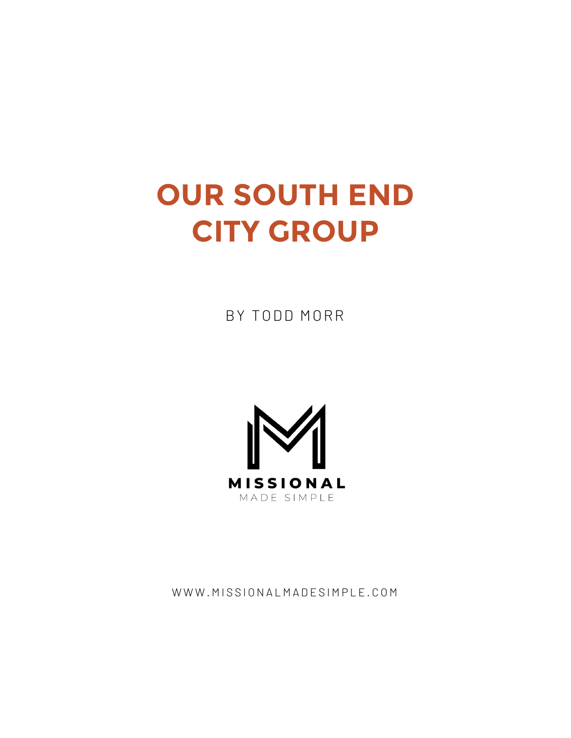## **OUR SOUTH END CITY GROUP**

BY TODD MORR



WWW.MISSIONALMADESIMPLE.COM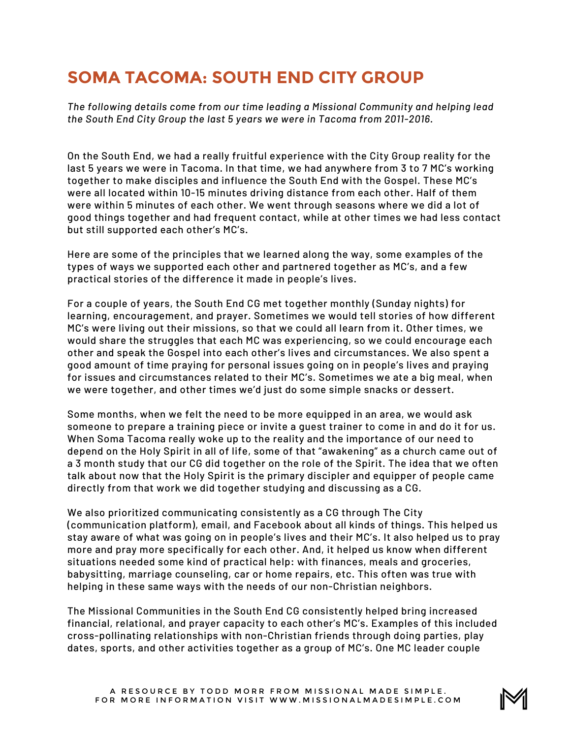## **SOMA TACOMA: SOUTH END CITY GROUP**

*The following details come from our time leading a Missional Community and helping lead the South End City Group the last 5 years we were in Tacoma from 2011-2016.*

On the South End, we had a really fruitful experience with the City Group reality for the last 5 years we were in Tacoma. In that time, we had anywhere from 3 to 7 MC's working together to make disciples and influence the South End with the Gospel. These MC's were all located within 10-15 minutes driving distance from each other. Half of them were within 5 minutes of each other. We went through seasons where we did a lot of good things together and had frequent contact, while at other times we had less contact but still supported each other's MC's.

Here are some of the principles that we learned along the way, some examples of the types of ways we supported each other and partnered together as MC's, and a few practical stories of the difference it made in people's lives.

For a couple of years, the South End CG met together monthly (Sunday nights) for learning, encouragement, and prayer. Sometimes we would tell stories of how different MC's were living out their missions, so that we could all learn from it. Other times, we would share the struggles that each MC was experiencing, so we could encourage each other and speak the Gospel into each other's lives and circumstances. We also spent a good amount of time praying for personal issues going on in people's lives and praying for issues and circumstances related to their MC's. Sometimes we ate a big meal, when we were together, and other times we'd just do some simple snacks or dessert.

Some months, when we felt the need to be more equipped in an area, we would ask someone to prepare a training piece or invite a guest trainer to come in and do it for us. When Soma Tacoma really woke up to the reality and the importance of our need to depend on the Holy Spirit in all of life, some of that "awakening" as a church came out of a 3 month study that our CG did together on the role of the Spirit. The idea that we often talk about now that the Holy Spirit is the primary discipler and equipper of people came directly from that work we did together studying and discussing as a CG.

We also prioritized communicating consistently as a CG through The City (communication platform), email, and Facebook about all kinds of things. This helped us stay aware of what was going on in people's lives and their MC's. It also helped us to pray more and pray more specifically for each other. And, it helped us know when different situations needed some kind of practical help: with finances, meals and groceries, babysitting, marriage counseling, car or home repairs, etc. This often was true with helping in these same ways with the needs of our non-Christian neighbors.

The Missional Communities in the South End CG consistently helped bring increased financial, relational, and prayer capacity to each other's MC's. Examples of this included cross-pollinating relationships with non-Christian friends through doing parties, play dates, sports, and other activities together as a group of MC's. One MC leader couple

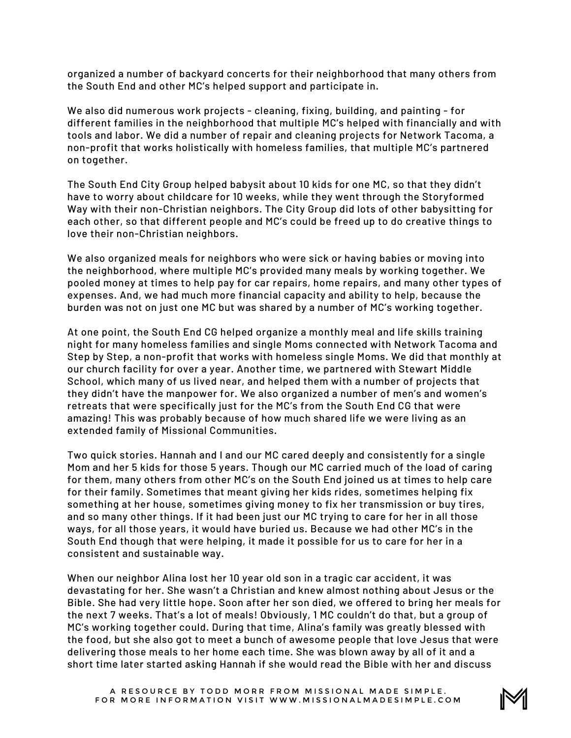organized a number of backyard concerts for their neighborhood that many others from the South End and other MC's helped support and participate in.

We also did numerous work projects - cleaning, fixing, building, and painting - for different families in the neighborhood that multiple MC's helped with financially and with tools and labor. We did a number of repair and cleaning projects for Network Tacoma, a non-profit that works holistically with homeless families, that multiple MC's partnered on together.

The South End City Group helped babysit about 10 kids for one MC, so that they didn't have to worry about childcare for 10 weeks, while they went through the Storyformed Way with their non-Christian neighbors. The City Group did lots of other babysitting for each other, so that different people and MC's could be freed up to do creative things to love their non-Christian neighbors.

We also organized meals for neighbors who were sick or having babies or moving into the neighborhood, where multiple MC's provided many meals by working together. We pooled money at times to help pay for car repairs, home repairs, and many other types of expenses. And, we had much more financial capacity and ability to help, because the burden was not on just one MC but was shared by a number of MC's working together.

At one point, the South End CG helped organize a monthly meal and life skills training night for many homeless families and single Moms connected with Network Tacoma and Step by Step, a non-profit that works with homeless single Moms. We did that monthly at our church facility for over a year. Another time, we partnered with Stewart Middle School, which many of us lived near, and helped them with a number of projects that they didn't have the manpower for. We also organized a number of men's and women's retreats that were specifically just for the MC's from the South End CG that were amazing! This was probably because of how much shared life we were living as an extended family of Missional Communities.

Two quick stories. Hannah and I and our MC cared deeply and consistently for a single Mom and her 5 kids for those 5 years. Though our MC carried much of the load of caring for them, many others from other MC's on the South End joined us at times to help care for their family. Sometimes that meant giving her kids rides, sometimes helping fix something at her house, sometimes giving money to fix her transmission or buy tires, and so many other things. If it had been just our MC trying to care for her in all those ways, for all those years, it would have buried us. Because we had other MC's in the South End though that were helping, it made it possible for us to care for her in a consistent and sustainable way.

When our neighbor Alina lost her 10 year old son in a tragic car accident, it was devastating for her. She wasn't a Christian and knew almost nothing about Jesus or the Bible. She had very little hope. Soon after her son died, we offered to bring her meals for the next 7 weeks. That's a lot of meals! Obviously, 1 MC couldn't do that, but a group of MC's working together could. During that time, Alina's family was greatly blessed with the food, but she also got to meet a bunch of awesome people that love Jesus that were delivering those meals to her home each time. She was blown away by all of it and a short time later started asking Hannah if she would read the Bible with her and discuss